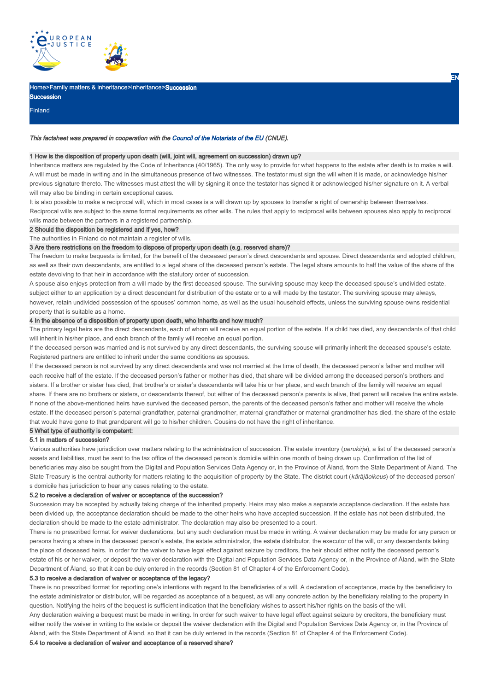

## Home>Family matters & inheritance>Inheritance>Succession

Succession Finland

#### This factsheet was prepared in cooperation with the Council of the Notariats of the EU (CNUE).

## 1 How is the disposition of property upon death (will, joint will, agreement on succession) drawn up?

Inheritance matters are regulated by the Code of Inheritance (40/1965). The only way to provide for what happens to the estate after death is to make a will. A will must be made in writing and in the simultaneous presence of two witnesses. The testator must sign the will when it is made, or acknowledge his/her previous signature thereto. The witnesses must attest the will by signing it once the testator has signed it or acknowledged his/her signature on it. A verbal will may also be binding in certain exceptional cases.

EN

It is also possible to make a reciprocal will, which in most cases is a will drawn up by spouses to transfer a right of ownership between themselves. Reciprocal wills are subject to the same formal requirements as other wills. The rules that apply to reciprocal wills between spouses also apply to reciprocal

wills made between the partners in a registered partnership.

2 Should the disposition be registered and if yes, how?

The authorities in Finland do not maintain a register of wills.

## 3 Are there restrictions on the freedom to dispose of property upon death (e.g. reserved share)?

The freedom to make bequests is limited, for the benefit of the deceased person's direct descendants and spouse. Direct descendants and adopted children, as well as their own descendants, are entitled to a legal share of the deceased person's estate. The legal share amounts to half the value of the share of the estate devolving to that heir in accordance with the statutory order of succession.

A spouse also enjoys protection from a will made by the first deceased spouse. The surviving spouse may keep the deceased spouse's undivided estate, subject either to an application by a direct descendant for distribution of the estate or to a will made by the testator. The surviving spouse may always, however, retain undivided possession of the spouses' common home, as well as the usual household effects, unless the surviving spouse owns residential property that is suitable as a home.

## 4 In the absence of a disposition of property upon death, who inherits and how much?

The primary legal heirs are the direct descendants, each of whom will receive an equal portion of the estate. If a child has died, any descendants of that child will inherit in his/her place, and each branch of the family will receive an equal portion.

If the deceased person was married and is not survived by any direct descendants, the surviving spouse will primarily inherit the deceased spouse's estate. Registered partners are entitled to inherit under the same conditions as spouses.

If the deceased person is not survived by any direct descendants and was not married at the time of death, the deceased person's father and mother will each receive half of the estate. If the deceased person's father or mother has died, that share will be divided among the deceased person's brothers and sisters. If a brother or sister has died, that brother's or sister's descendants will take his or her place, and each branch of the family will receive an equal share. If there are no brothers or sisters, or descendants thereof, but either of the deceased person's parents is alive, that parent will receive the entire estate. If none of the above-mentioned heirs have survived the deceased person, the parents of the deceased person's father and mother will receive the whole estate. If the deceased person's paternal grandfather, paternal grandmother, maternal grandfather or maternal grandmother has died, the share of the estate that would have gone to that grandparent will go to his/her children. Cousins do not have the right of inheritance.

#### 5 What type of authority is competent:

#### 5.1 in matters of succession?

Various authorities have jurisdiction over matters relating to the administration of succession. The estate inventory (perukirja), a list of the deceased person's assets and liabilities, must be sent to the tax office of the deceased person's domicile within one month of being drawn up. Confirmation of the list of beneficiaries may also be sought from the Digital and Population Services Data Agency or, in the Province of Åland, from the State Department of Åland. The State Treasury is the central authority for matters relating to the acquisition of property by the State. The district court (käräjäoikeus) of the deceased person' s domicile has jurisdiction to hear any cases relating to the estate.

#### 5.2 to receive a declaration of waiver or acceptance of the succession?

Succession may be accepted by actually taking charge of the inherited property. Heirs may also make a separate acceptance declaration. If the estate has been divided up, the acceptance declaration should be made to the other heirs who have accepted succession. If the estate has not been distributed, the declaration should be made to the estate administrator. The declaration may also be presented to a court.

There is no prescribed format for waiver declarations, but any such declaration must be made in writing. A waiver declaration may be made for any person or persons having a share in the deceased person's estate, the estate administrator, the estate distributor, the executor of the will, or any descendants taking the place of deceased heirs. In order for the waiver to have legal effect against seizure by creditors, the heir should either notify the deceased person's estate of his or her waiver, or deposit the waiver declaration with the Digital and Population Services Data Agency or, in the Province of Åland, with the State Department of Åland, so that it can be duly entered in the records (Section 81 of Chapter 4 of the Enforcement Code).

# 5.3 to receive a declaration of waiver or acceptance of the legacy?

There is no prescribed format for reporting one's intentions with regard to the beneficiaries of a will. A declaration of acceptance, made by the beneficiary to the estate administrator or distributor, will be regarded as acceptance of a bequest, as will any concrete action by the beneficiary relating to the property in question. Notifying the heirs of the bequest is sufficient indication that the beneficiary wishes to assert his/her rights on the basis of the will.

Any declaration waiving a bequest must be made in writing. In order for such waiver to have legal effect against seizure by creditors, the beneficiary must either notify the waiver in writing to the estate or deposit the waiver declaration with the Digital and Population Services Data Agency or, in the Province of Åland, with the State Department of Åland, so that it can be duly entered in the records (Section 81 of Chapter 4 of the Enforcement Code).

# 5.4 to receive a declaration of waiver and acceptance of a reserved share?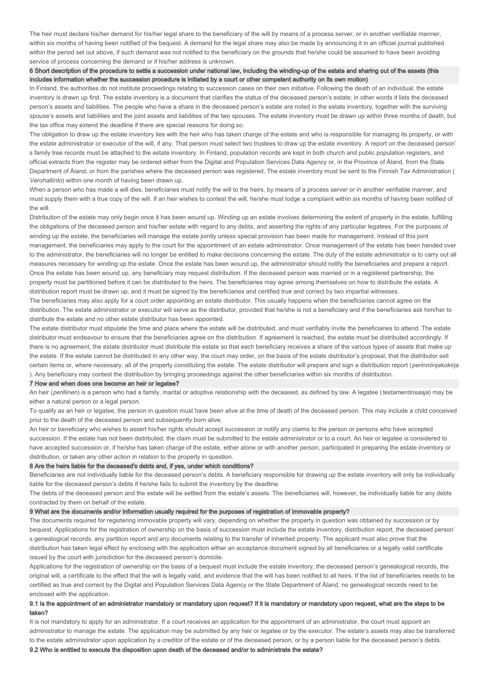The heir must declare his/her demand for his/her legal share to the beneficiary of the will by means of a process server, or in another verifiable manner, within six months of having been notified of the bequest. A demand for the legal share may also be made by announcing it in an official journal published within the period set out above, if such demand was not notified to the beneficiary on the grounds that he/she could be assumed to have been avoiding service of process concerning the demand or if his/her address is unknown.

## 6 Short description of the procedure to settle a succession under national law, including the winding-up of the estate and sharing out of the assets (this includes information whether the succession procedure is initiated by a court or other competent authority on its own motion)

In Finland, the authorities do not institute proceedings relating to succession cases on their own initiative. Following the death of an individual, the estate inventory is drawn up first. The estate inventory is a document that clarifies the status of the deceased person's estate; in other words it lists the deceased person's assets and liabilities. The people who have a share in the deceased person's estate are noted in the estate inventory, together with the surviving spouse's assets and liabilities and the joint assets and liabilities of the two spouses. The estate inventory must be drawn up within three months of death, but the tax office may extend the deadline if there are special reasons for doing so.

The obligation to draw up the estate inventory lies with the heir who has taken charge of the estate and who is responsible for managing its property, or with the estate administrator or executor of the will, if any. That person must select two trustees to draw up the estate inventory. A report on the deceased person' s family tree records must be attached to the estate inventory. In Finland, population records are kept in both church and public population registers, and official extracts from the register may be ordered either from the Digital and Population Services Data Agency or, in the Province of Åland, from the State Department of Åland, or from the parishes where the deceased person was registered. The estate inventory must be sent to the Finnish Tax Administration ( Verohallinto) within one month of having been drawn up.

When a person who has made a will dies, beneficiaries must notify the will to the heirs, by means of a process server or in another verifiable manner, and must supply them with a true copy of the will. If an heir wishes to contest the will, he/she must lodge a complaint within six months of having been notified of the will.

Distribution of the estate may only begin once it has been wound up. Winding up an estate involves determining the extent of property in the estate, fulfilling the obligations of the deceased person and his/her estate with regard to any debts, and asserting the rights of any particular legatees. For the purposes of winding up the estate, the beneficiaries will manage the estate jointly unless special provision has been made for management. Instead of this joint management, the beneficiaries may apply to the court for the appointment of an estate administrator. Once management of the estate has been handed over to the administrator, the beneficiaries will no longer be entitled to make decisions concerning the estate. The duty of the estate administrator is to carry out all measures necessary for winding up the estate. Once the estate has been wound up, the administrator should notify the beneficiaries and prepare a report. Once the estate has been wound up, any beneficiary may request distribution. If the deceased person was married or in a registered partnership, the property must be partitioned before it can be distributed to the heirs. The beneficiaries may agree among themselves on how to distribute the estate. A distribution report must be drawn up, and it must be signed by the beneficiaries and certified true and correct by two impartial witnesses

The beneficiaries may also apply for a court order appointing an estate distributor. This usually happens when the beneficiaries cannot agree on the distribution. The estate administrator or executor will serve as the distributor, provided that he/she is not a beneficiary and if the beneficiaries ask him/her to distribute the estate and no other estate distributor has been appointed.

The estate distributor must stipulate the time and place where the estate will be distributed, and must verifiably invite the beneficiaries to attend. The estate distributor must endeavour to ensure that the beneficiaries agree on the distribution. If agreement is reached, the estate must be distributed accordingly. If there is no agreement, the estate distributor must distribute the estate so that each beneficiary receives a share of the various types of assets that make up the estate. If the estate cannot be distributed in any other way, the court may order, on the basis of the estate distributor's proposal, that the distributor sell certain items or, where necessary, all of the property constituting the estate. The estate distributor will prepare and sign a distribution report (perinnönjakokirja ). Any beneficiary may contest the distribution by bringing proceedings against the other beneficiaries within six months of distribution.

#### 7 How and when does one become an heir or legatee?

An heir (perillinen) is a person who had a family, marital or adoptive relationship with the deceased, as defined by law. A legatee (testamentinsaaja) may be either a natural person or a legal person.

To qualify as an heir or legatee, the person in question must have been alive at the time of death of the deceased person. This may include a child conceived prior to the death of the deceased person and subsequently born alive.

An heir or beneficiary who wishes to assert his/her rights should accept succession or notify any claims to the person or persons who have accepted succession. If the estate has not been distributed, the claim must be submitted to the estate administrator or to a court. An heir or legatee is considered to have accepted succession or, if he/she has taken charge of the estate, either alone or with another person, participated in preparing the estate inventory or distribution, or taken any other action in relation to the property in question.

#### 8 Are the heirs liable for the deceased's debts and, if yes, under which conditions?

Beneficiaries are not individually liable for the deceased person's debts. A beneficiary responsible for drawing up the estate inventory will only be individually liable for the deceased person's debts if he/she fails to submit the inventory by the deadline.

The debts of the deceased person and the estate will be settled from the estate's assets. The beneficiaries will, however, be individually liable for any debts contracted by them on behalf of the estate.

#### 9 What are the documents and/or information usually required for the purposes of registration of immovable property?

The documents required for registering immovable property will vary, depending on whether the property in question was obtained by succession or by bequest. Applications for the registration of ownership on the basis of succession must include the estate inventory, distribution report, the deceased person' s genealogical records, any partition report and any documents relating to the transfer of inherited property. The applicant must also prove that the distribution has taken legal effect by enclosing with the application either an acceptance document signed by all beneficiaries or a legally valid certificate issued by the court with jurisdiction for the deceased person's domicile.

Applications for the registration of ownership on the basis of a bequest must include the estate inventory, the deceased person's genealogical records, the original will, a certificate to the effect that the will is legally valid, and evidence that the will has been notified to all heirs. If the list of beneficiaries needs to be certified as true and correct by the Digital and Population Services Data Agency or the State Department of Åland, no genealogical records need to be enclosed with the application.

# 9.1 Is the appointment of an administrator mandatory or mandatory upon request? If it is mandatory or mandatory upon request, what are the steps to be taken?

It is not mandatory to apply for an administrator. If a court receives an application for the appointment of an administrator, the court must appoint an administrator to manage the estate. The application may be submitted by any heir or legatee or by the executor. The estate's assets may also be transferred to the estate administrator upon application by a creditor of the estate or of the deceased person, or by a person liable for the deceased person's debts.

9.2 Who is entitled to execute the disposition upon death of the deceased and/or to administrate the estate?